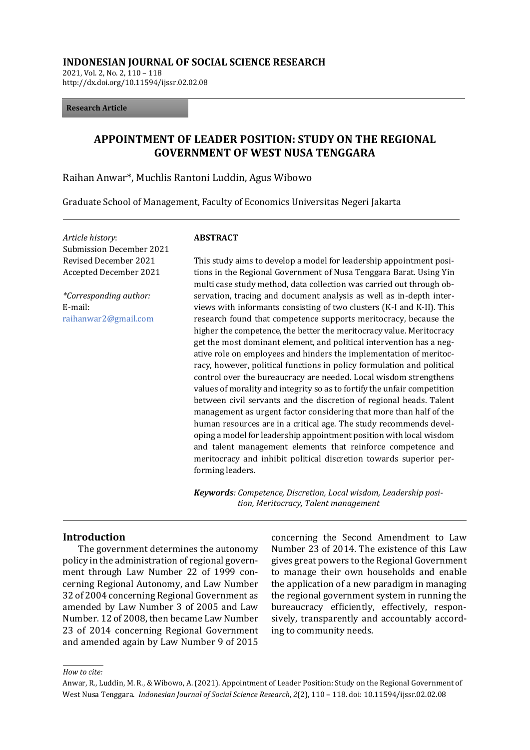#### **INDONESIAN JOURNAL OF SOCIAL SCIENCE RESEARCH**

2021, Vol. 2, No. 2, 110 – 118 http://dx.doi.org/10.11594/ijssr.02.02.08

#### **Research Article**

# **APPOINTMENT OF LEADER POSITION: STUDY ON THE REGIONAL GOVERNMENT OF WEST NUSA TENGGARA**

Raihan Anwar\*, Muchlis Rantoni Luddin, Agus Wibowo

Graduate School of Management, Faculty of Economics Universitas Negeri Jakarta

*Article history*: Submission December 2021 Revised December 2021 Accepted December 2021

*\*Corresponding author:* E-mail: raihanwar2@gmail.com

#### **ABSTRACT**

This study aims to develop a model for leadership appointment positions in the Regional Government of Nusa Tenggara Barat. Using Yin multi case study method, data collection was carried out through observation, tracing and document analysis as well as in-depth interviews with informants consisting of two clusters (K-I and K-II). This research found that competence supports meritocracy, because the higher the competence, the better the meritocracy value. Meritocracy get the most dominant element, and political intervention has a negative role on employees and hinders the implementation of meritocracy, however, political functions in policy formulation and political control over the bureaucracy are needed. Local wisdom strengthens values of morality and integrity so as to fortify the unfair competition between civil servants and the discretion of regional heads. Talent management as urgent factor considering that more than half of the human resources are in a critical age. The study recommends developing a model for leadership appointment position with local wisdom and talent management elements that reinforce competence and meritocracy and inhibit political discretion towards superior performing leaders.

*Keywords: Competence, Discretion, Local wisdom, Leadership position, Meritocracy, Talent management*

#### **Introduction**

The government determines the autonomy policy in the administration of regional government through Law Number 22 of 1999 concerning Regional Autonomy, and Law Number 32 of 2004 concerning Regional Government as amended by Law Number 3 of 2005 and Law Number. 12 of 2008, then became Law Number 23 of 2014 concerning Regional Government and amended again by Law Number 9 of 2015

concerning the Second Amendment to Law Number 23 of 2014. The existence of this Law gives great powers to the Regional Government to manage their own households and enable the application of a new paradigm in managing the regional government system in running the bureaucracy efficiently, effectively, responsively, transparently and accountably according to community needs.

*How to cite:*

Anwar, R., Luddin, M. R., & Wibowo, A. (2021). Appointment of Leader Position: Study on the Regional Government of West Nusa Tenggara. *Indonesian Journal of Social Science Research*, *2*(2), 110 – 118. doi: 10.11594/ijssr.02.02.08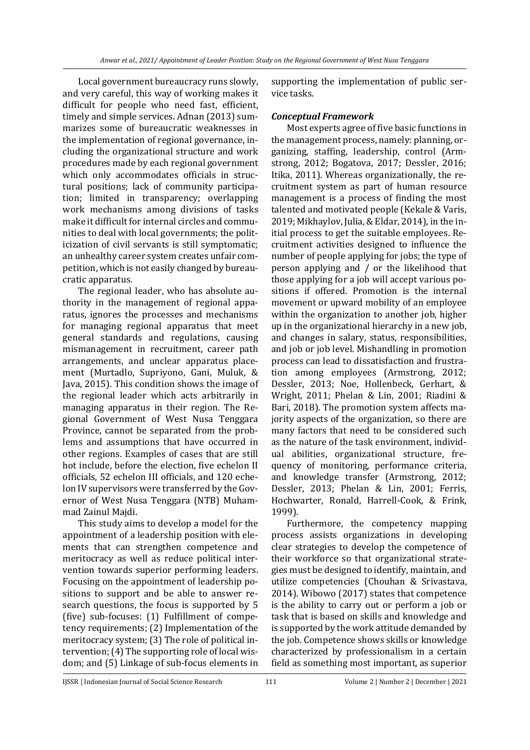Local government bureaucracy runs slowly, and very careful, this way of working makes it difficult for people who need fast, efficient, timely and simple services. Adnan (2013) summarizes some of bureaucratic weaknesses in the implementation of regional governance, including the organizational structure and work procedures made by each regional government which only accommodates officials in structural positions; lack of community participation; limited in transparency; overlapping work mechanisms among divisions of tasks make it difficult for internal circles and communities to deal with local governments; the politicization of civil servants is still symptomatic; an unhealthy career system creates unfair competition, which is not easily changed by bureaucratic apparatus.

The regional leader, who has absolute authority in the management of regional apparatus, ignores the processes and mechanisms for managing regional apparatus that meet general standards and regulations, causing mismanagement in recruitment, career path arrangements, and unclear apparatus placement (Murtadlo, Supriyono, Gani, Muluk, & Java, 2015). This condition shows the image of the regional leader which acts arbitrarily in managing apparatus in their region. The Regional Government of West Nusa Tenggara Province, cannot be separated from the problems and assumptions that have occurred in other regions. Examples of cases that are still hot include, before the election, five echelon II officials, 52 echelon III officials, and 120 echelon IV supervisors were transferred by the Governor of West Nusa Tenggara (NTB) Muhammad Zainul Majdi.

This study aims to develop a model for the appointment of a leadership position with elements that can strengthen competence and meritocracy as well as reduce political intervention towards superior performing leaders. Focusing on the appointment of leadership positions to support and be able to answer research questions, the focus is supported by 5 (five) sub-focuses: (1) Fulfillment of competency requirements; (2) Implementation of the meritocracy system; (3) The role of political intervention; (4) The supporting role of local wisdom; and (5) Linkage of sub-focus elements in

supporting the implementation of public service tasks.

## *Conceptual Framework*

Most experts agree of five basic functions in the management process, namely: planning, organizing, staffing, leadership, control (Armstrong, 2012; Bogatova, 2017; Dessler, 2016; Itika, 2011). Whereas organizationally, the recruitment system as part of human resource management is a process of finding the most talented and motivated people (Kekale & Varis, 2019; Mikhaylov, Julia, & Eldar, 2014), in the initial process to get the suitable employees. Recruitment activities designed to influence the number of people applying for jobs; the type of person applying and / or the likelihood that those applying for a job will accept various positions if offered. Promotion is the internal movement or upward mobility of an employee within the organization to another job, higher up in the organizational hierarchy in a new job, and changes in salary, status, responsibilities, and job or job level. Mishandling in promotion process can lead to dissatisfaction and frustration among employees (Armstrong, 2012; Dessler, 2013; Noe, Hollenbeck, Gerhart, & Wright, 2011; Phelan & Lin, 2001; Riadini & Bari, 2018). The promotion system affects majority aspects of the organization, so there are many factors that need to be considered such as the nature of the task environment, individual abilities, organizational structure, frequency of monitoring, performance criteria, and knowledge transfer (Armstrong, 2012; Dessler, 2013; Phelan & Lin, 2001; Ferris, Hochwarter, Ronald, Harrell-Cook, & Frink, 1999).

Furthermore, the competency mapping process assists organizations in developing clear strategies to develop the competence of their workforce so that organizational strategies must be designed to identify, maintain, and utilize competencies (Chouhan & Srivastava, 2014). Wibowo (2017) states that competence is the ability to carry out or perform a job or task that is based on skills and knowledge and is supported by the work attitude demanded by the job. Competence shows skills or knowledge characterized by professionalism in a certain field as something most important, as superior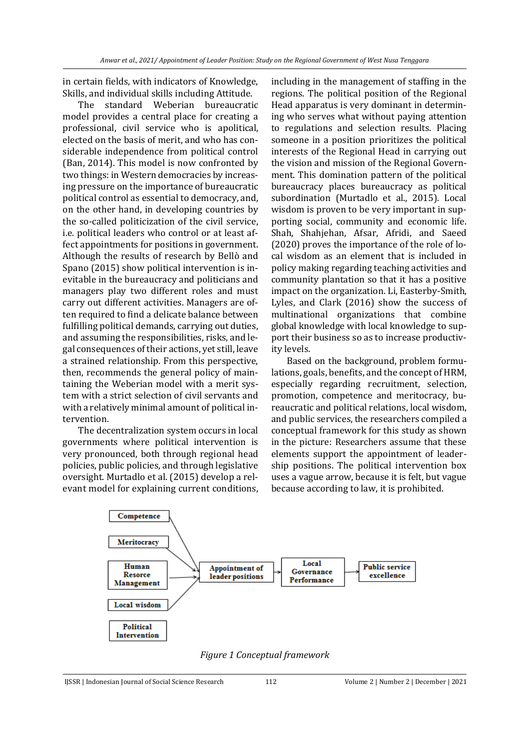in certain fields, with indicators of Knowledge, Skills, and individual skills including Attitude.

The standard Weberian bureaucratic model provides a central place for creating a professional, civil service who is apolitical, elected on the basis of merit, and who has considerable independence from political control (Ban, 2014). This model is now confronted by two things: in Western democracies by increasing pressure on the importance of bureaucratic political control as essential to democracy, and, on the other hand, in developing countries by the so-called politicization of the civil service, i.e. political leaders who control or at least affect appointments for positions in government. Although the results of research by Bellò and Spano (2015) show political intervention is inevitable in the bureaucracy and politicians and managers play two different roles and must carry out different activities. Managers are often required to find a delicate balance between fulfilling political demands, carrying out duties, and assuming the responsibilities, risks, and legal consequences of their actions, yet still, leave a strained relationship. From this perspective, then, recommends the general policy of maintaining the Weberian model with a merit system with a strict selection of civil servants and with a relatively minimal amount of political intervention.

The decentralization system occurs in local governments where political intervention is very pronounced, both through regional head policies, public policies, and through legislative oversight. Murtadlo et al. (2015) develop a relevant model for explaining current conditions, including in the management of staffing in the regions. The political position of the Regional Head apparatus is very dominant in determining who serves what without paying attention to regulations and selection results. Placing someone in a position prioritizes the political interests of the Regional Head in carrying out the vision and mission of the Regional Government. This domination pattern of the political bureaucracy places bureaucracy as political subordination (Murtadlo et al., 2015). Local wisdom is proven to be very important in supporting social, community and economic life. Shah, Shahjehan, Afsar, Afridi, and Saeed (2020) proves the importance of the role of local wisdom as an element that is included in policy making regarding teaching activities and community plantation so that it has a positive impact on the organization. Li, Easterby-Smith, Lyles, and Clark (2016) show the success of multinational organizations that combine global knowledge with local knowledge to support their business so as to increase productivity levels.

Based on the background, problem formulations, goals, benefits, and the concept of HRM, especially regarding recruitment, selection, promotion, competence and meritocracy, bureaucratic and political relations, local wisdom, and public services, the researchers compiled a conceptual framework for this study as shown in the picture: Researchers assume that these elements support the appointment of leadership positions. The political intervention box uses a vague arrow, because it is felt, but vague because according to law, it is prohibited.



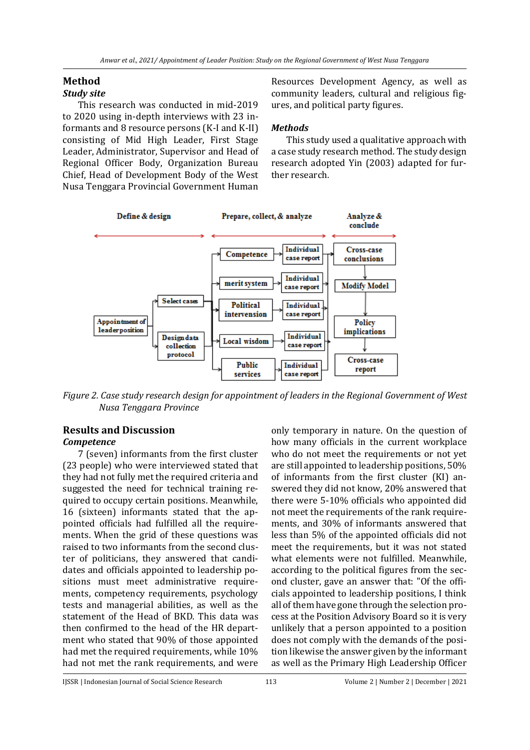## **Method**

## *Study site*

This research was conducted in mid-2019 to 2020 using in-depth interviews with 23 informants and 8 resource persons (K-I and K-II) consisting of Mid High Leader, First Stage Leader, Administrator, Supervisor and Head of Regional Officer Body, Organization Bureau Chief, Head of Development Body of the West Nusa Tenggara Provincial Government Human

Resources Development Agency, as well as community leaders, cultural and religious figures, and political party figures.

## *Methods*

This study used a qualitative approach with a case study research method. The study design research adopted Yin (2003) adapted for further research.



*Figure 2. Case study research design for appointment of leaders in the Regional Government of West Nusa Tenggara Province*

### **Results and Discussion** *Competence*

7 (seven) informants from the first cluster (23 people) who were interviewed stated that they had not fully met the required criteria and suggested the need for technical training required to occupy certain positions. Meanwhile, 16 (sixteen) informants stated that the appointed officials had fulfilled all the requirements. When the grid of these questions was raised to two informants from the second cluster of politicians, they answered that candidates and officials appointed to leadership positions must meet administrative requirements, competency requirements, psychology tests and managerial abilities, as well as the statement of the Head of BKD. This data was then confirmed to the head of the HR department who stated that 90% of those appointed had met the required requirements, while 10% had not met the rank requirements, and were

only temporary in nature. On the question of how many officials in the current workplace who do not meet the requirements or not yet are still appointed to leadership positions, 50% of informants from the first cluster (KI) answered they did not know, 20% answered that there were 5-10% officials who appointed did not meet the requirements of the rank requirements, and 30% of informants answered that less than 5% of the appointed officials did not meet the requirements, but it was not stated what elements were not fulfilled. Meanwhile, according to the political figures from the second cluster, gave an answer that: "Of the officials appointed to leadership positions, I think all of them have gone through the selection process at the Position Advisory Board so it is very unlikely that a person appointed to a position does not comply with the demands of the position likewise the answer given by the informant as well as the Primary High Leadership Officer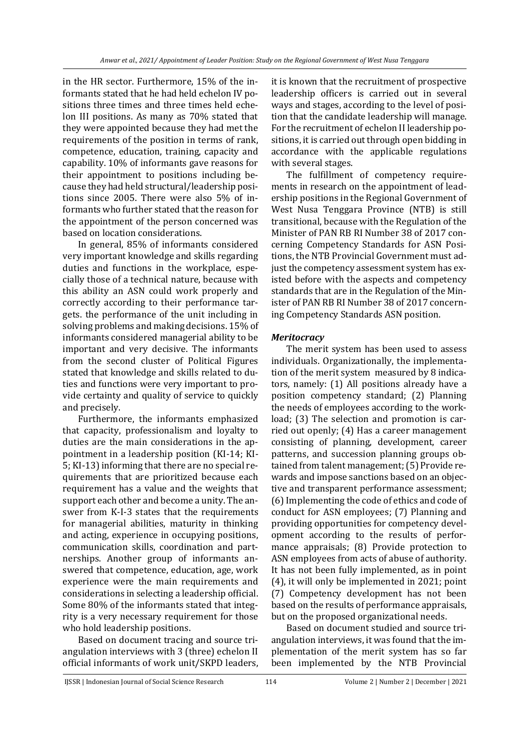in the HR sector. Furthermore, 15% of the informants stated that he had held echelon IV positions three times and three times held echelon III positions. As many as 70% stated that they were appointed because they had met the requirements of the position in terms of rank, competence, education, training, capacity and capability. 10% of informants gave reasons for their appointment to positions including because they had held structural/leadership positions since 2005. There were also 5% of informants who further stated that the reason for the appointment of the person concerned was based on location considerations.

In general, 85% of informants considered very important knowledge and skills regarding duties and functions in the workplace, especially those of a technical nature, because with this ability an ASN could work properly and correctly according to their performance targets. the performance of the unit including in solving problems and making decisions. 15% of informants considered managerial ability to be important and very decisive. The informants from the second cluster of Political Figures stated that knowledge and skills related to duties and functions were very important to provide certainty and quality of service to quickly and precisely.

Furthermore, the informants emphasized that capacity, professionalism and loyalty to duties are the main considerations in the appointment in a leadership position (KI-14; KI-5; KI-13) informing that there are no special requirements that are prioritized because each requirement has a value and the weights that support each other and become a unity. The answer from K-I-3 states that the requirements for managerial abilities, maturity in thinking and acting, experience in occupying positions, communication skills, coordination and partnerships. Another group of informants answered that competence, education, age, work experience were the main requirements and considerations in selecting a leadership official. Some 80% of the informants stated that integrity is a very necessary requirement for those who hold leadership positions.

Based on document tracing and source triangulation interviews with 3 (three) echelon II official informants of work unit/SKPD leaders, it is known that the recruitment of prospective leadership officers is carried out in several ways and stages, according to the level of position that the candidate leadership will manage. For the recruitment of echelon II leadership positions, it is carried out through open bidding in accordance with the applicable regulations with several stages.

The fulfillment of competency requirements in research on the appointment of leadership positions in the Regional Government of West Nusa Tenggara Province (NTB) is still transitional, because with the Regulation of the Minister of PAN RB RI Number 38 of 2017 concerning Competency Standards for ASN Positions, the NTB Provincial Government must adjust the competency assessment system has existed before with the aspects and competency standards that are in the Regulation of the Minister of PAN RB RI Number 38 of 2017 concerning Competency Standards ASN position.

### *Meritocracy*

The merit system has been used to assess individuals. Organizationally, the implementation of the merit system measured by 8 indicators, namely: (1) All positions already have a position competency standard; (2) Planning the needs of employees according to the workload; (3) The selection and promotion is carried out openly; (4) Has a career management consisting of planning, development, career patterns, and succession planning groups obtained from talent management; (5) Provide rewards and impose sanctions based on an objective and transparent performance assessment; (6) Implementing the code of ethics and code of conduct for ASN employees; (7) Planning and providing opportunities for competency development according to the results of performance appraisals; (8) Provide protection to ASN employees from acts of abuse of authority. It has not been fully implemented, as in point (4), it will only be implemented in 2021; point (7) Competency development has not been based on the results of performance appraisals, but on the proposed organizational needs.

Based on document studied and source triangulation interviews, it was found that the implementation of the merit system has so far been implemented by the NTB Provincial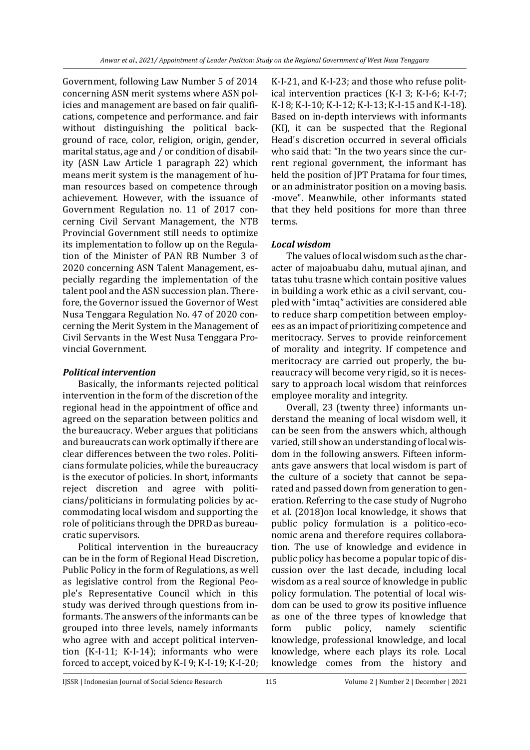Government, following Law Number 5 of 2014 concerning ASN merit systems where ASN policies and management are based on fair qualifications, competence and performance. and fair without distinguishing the political background of race, color, religion, origin, gender, marital status, age and / or condition of disability (ASN Law Article 1 paragraph 22) which means merit system is the management of human resources based on competence through achievement. However, with the issuance of Government Regulation no. 11 of 2017 concerning Civil Servant Management, the NTB Provincial Government still needs to optimize its implementation to follow up on the Regulation of the Minister of PAN RB Number 3 of 2020 concerning ASN Talent Management, especially regarding the implementation of the talent pool and the ASN succession plan. Therefore, the Governor issued the Governor of West Nusa Tenggara Regulation No. 47 of 2020 concerning the Merit System in the Management of Civil Servants in the West Nusa Tenggara Provincial Government.

### *Political intervention*

Basically, the informants rejected political intervention in the form of the discretion of the regional head in the appointment of office and agreed on the separation between politics and the bureaucracy. Weber argues that politicians and bureaucrats can work optimally if there are clear differences between the two roles. Politicians formulate policies, while the bureaucracy is the executor of policies. In short, informants reject discretion and agree with politicians/politicians in formulating policies by accommodating local wisdom and supporting the role of politicians through the DPRD as bureaucratic supervisors.

Political intervention in the bureaucracy can be in the form of Regional Head Discretion, Public Policy in the form of Regulations, as well as legislative control from the Regional People's Representative Council which in this study was derived through questions from informants. The answers of the informants can be grouped into three levels, namely informants who agree with and accept political intervention (K-I-11; K-I-14); informants who were forced to accept, voiced by K-I 9; K-I-19; K-I-20;

K-I-21, and K-I-23; and those who refuse political intervention practices (K-I 3; K-I-6; K-I-7; K-I 8; K-I-10; K-I-12; K-I-13; K-I-15 and K-I-18). Based on in-depth interviews with informants (KI), it can be suspected that the Regional Head's discretion occurred in several officials who said that: "In the two years since the current regional government, the informant has held the position of JPT Pratama for four times, or an administrator position on a moving basis. -move". Meanwhile, other informants stated that they held positions for more than three terms.

## *Local wisdom*

The values of local wisdom such as the character of majoabuabu dahu, mutual ajinan, and tatas tuhu trasne which contain positive values in building a work ethic as a civil servant, coupled with "imtaq" activities are considered able to reduce sharp competition between employees as an impact of prioritizing competence and meritocracy. Serves to provide reinforcement of morality and integrity. If competence and meritocracy are carried out properly, the bureaucracy will become very rigid, so it is necessary to approach local wisdom that reinforces employee morality and integrity.

Overall, 23 (twenty three) informants understand the meaning of local wisdom well, it can be seen from the answers which, although varied, still show an understanding of local wisdom in the following answers. Fifteen informants gave answers that local wisdom is part of the culture of a society that cannot be separated and passed down from generation to generation. Referring to the case study of Nugroho et al. (2018)on local knowledge, it shows that public policy formulation is a politico-economic arena and therefore requires collaboration. The use of knowledge and evidence in public policy has become a popular topic of discussion over the last decade, including local wisdom as a real source of knowledge in public policy formulation. The potential of local wisdom can be used to grow its positive influence as one of the three types of knowledge that form public policy, namely scientific knowledge, professional knowledge, and local knowledge, where each plays its role. Local knowledge comes from the history and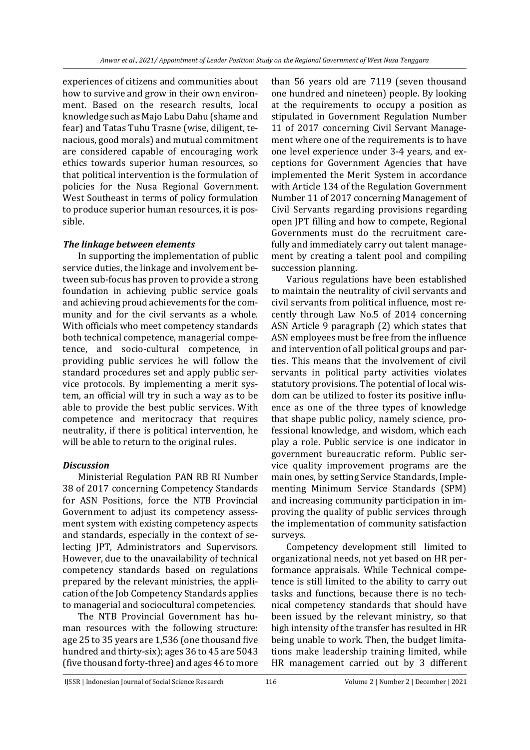experiences of citizens and communities about how to survive and grow in their own environment. Based on the research results, local knowledge such as Majo Labu Dahu (shame and fear) and Tatas Tuhu Trasne (wise, diligent, tenacious, good morals) and mutual commitment are considered capable of encouraging work ethics towards superior human resources, so that political intervention is the formulation of policies for the Nusa Regional Government. West Southeast in terms of policy formulation to produce superior human resources, it is possible.

### *The linkage between elements*

In supporting the implementation of public service duties, the linkage and involvement between sub-focus has proven to provide a strong foundation in achieving public service goals and achieving proud achievements for the community and for the civil servants as a whole. With officials who meet competency standards both technical competence, managerial competence, and socio-cultural competence, in providing public services he will follow the standard procedures set and apply public service protocols. By implementing a merit system, an official will try in such a way as to be able to provide the best public services. With competence and meritocracy that requires neutrality, if there is political intervention, he will be able to return to the original rules.

#### *Discussion*

Ministerial Regulation PAN RB RI Number 38 of 2017 concerning Competency Standards for ASN Positions, force the NTB Provincial Government to adjust its competency assessment system with existing competency aspects and standards, especially in the context of selecting JPT, Administrators and Supervisors. However, due to the unavailability of technical competency standards based on regulations prepared by the relevant ministries, the application of the Job Competency Standards applies to managerial and sociocultural competencies.

The NTB Provincial Government has human resources with the following structure: age 25 to 35 years are 1,536 (one thousand five hundred and thirty-six); ages 36 to 45 are 5043 (five thousand forty-three) and ages 46 to more

than 56 years old are 7119 (seven thousand one hundred and nineteen) people. By looking at the requirements to occupy a position as stipulated in Government Regulation Number 11 of 2017 concerning Civil Servant Management where one of the requirements is to have one level experience under 3-4 years, and exceptions for Government Agencies that have implemented the Merit System in accordance with Article 134 of the Regulation Government Number 11 of 2017 concerning Management of Civil Servants regarding provisions regarding open JPT filling and how to compete, Regional Governments must do the recruitment carefully and immediately carry out talent management by creating a talent pool and compiling succession planning.

Various regulations have been established to maintain the neutrality of civil servants and civil servants from political influence, most recently through Law No.5 of 2014 concerning ASN Article 9 paragraph (2) which states that ASN employees must be free from the influence and intervention of all political groups and parties. This means that the involvement of civil servants in political party activities violates statutory provisions. The potential of local wisdom can be utilized to foster its positive influence as one of the three types of knowledge that shape public policy, namely science, professional knowledge, and wisdom, which each play a role. Public service is one indicator in government bureaucratic reform. Public service quality improvement programs are the main ones, by setting Service Standards, Implementing Minimum Service Standards (SPM) and increasing community participation in improving the quality of public services through the implementation of community satisfaction surveys.

Competency development still limited to organizational needs, not yet based on HR performance appraisals. While Technical competence is still limited to the ability to carry out tasks and functions, because there is no technical competency standards that should have been issued by the relevant ministry, so that high intensity of the transfer has resulted in HR being unable to work. Then, the budget limitations make leadership training limited, while HR management carried out by 3 different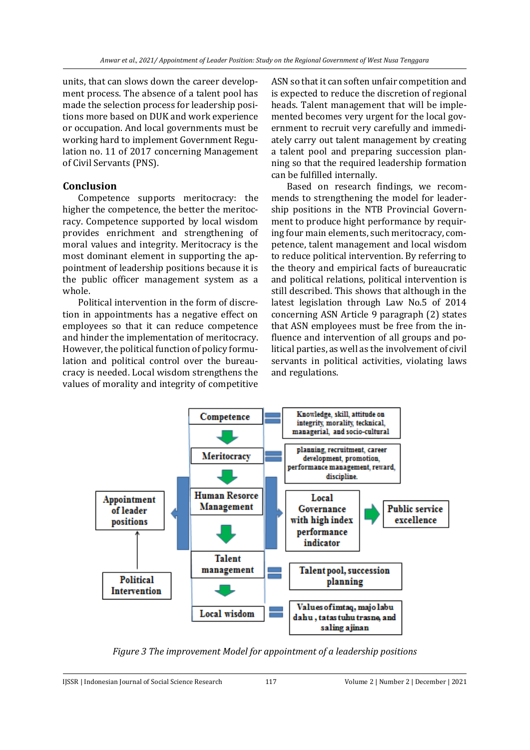units, that can slows down the career development process. The absence of a talent pool has made the selection process for leadership positions more based on DUK and work experience or occupation. And local governments must be working hard to implement Government Regulation no. 11 of 2017 concerning Management of Civil Servants (PNS).

# **Conclusion**

Competence supports meritocracy: the higher the competence, the better the meritocracy. Competence supported by local wisdom provides enrichment and strengthening of moral values and integrity. Meritocracy is the most dominant element in supporting the appointment of leadership positions because it is the public officer management system as a whole.

Political intervention in the form of discretion in appointments has a negative effect on employees so that it can reduce competence and hinder the implementation of meritocracy. However, the political function of policy formulation and political control over the bureaucracy is needed. Local wisdom strengthens the values of morality and integrity of competitive ASN so that it can soften unfair competition and is expected to reduce the discretion of regional heads. Talent management that will be implemented becomes very urgent for the local government to recruit very carefully and immediately carry out talent management by creating a talent pool and preparing succession planning so that the required leadership formation can be fulfilled internally.

Based on research findings, we recommends to strengthening the model for leadership positions in the NTB Provincial Government to produce hight performance by requiring four main elements, such meritocracy, competence, talent management and local wisdom to reduce political intervention. By referring to the theory and empirical facts of bureaucratic and political relations, political intervention is still described. This shows that although in the latest legislation through Law No.5 of 2014 concerning ASN Article 9 paragraph (2) states that ASN employees must be free from the influence and intervention of all groups and political parties, as well as the involvement of civil servants in political activities, violating laws and regulations.



*Figure 3 The improvement Model for appointment of a leadership positions*